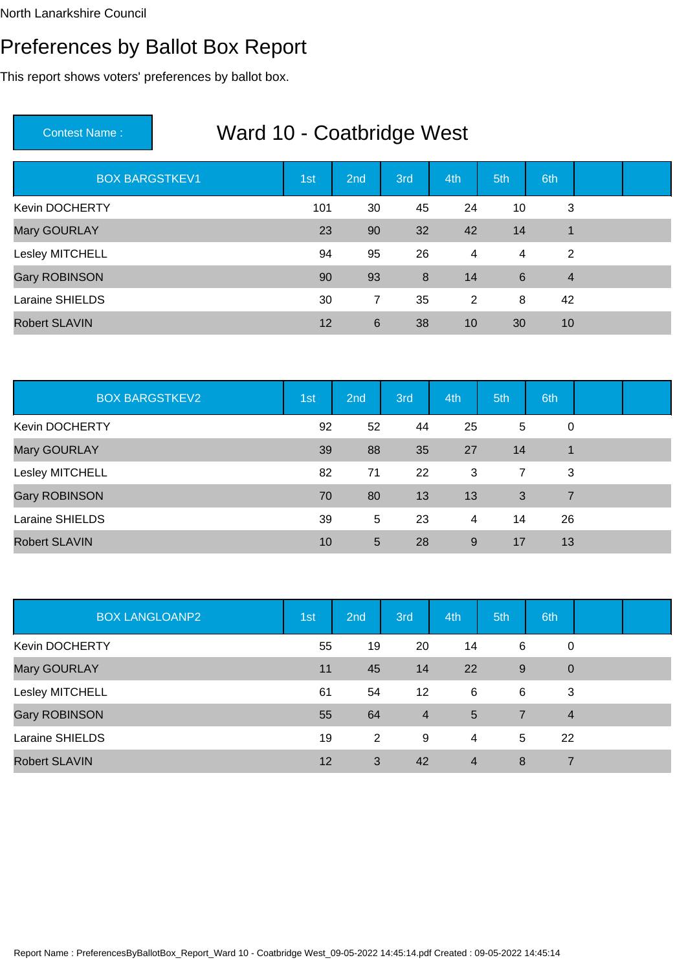### Preferences by Ballot Box Report

This report shows voters' preferences by ballot box.

| <b>BOX BARGSTKEV1</b> | 1st | 2nd            | 3rd | 4th | 5th | 6th            |  |
|-----------------------|-----|----------------|-----|-----|-----|----------------|--|
| Kevin DOCHERTY        | 101 | 30             | 45  | 24  | 10  | 3              |  |
| Mary GOURLAY          | 23  | 90             | 32  | 42  | 14  | 1              |  |
| Lesley MITCHELL       | 94  | 95             | 26  | 4   | 4   | $\overline{2}$ |  |
| <b>Gary ROBINSON</b>  | 90  | 93             | 8   | 14  | 6   | $\overline{4}$ |  |
| Laraine SHIELDS       | 30  | $\overline{7}$ | 35  | 2   | 8   | 42             |  |
| <b>Robert SLAVIN</b>  | 12  | 6              | 38  | 10  | 30  | 10             |  |

| <b>BOX BARGSTKEV2</b> | 1st | 2nd | 3rd | 4th | 5th            | 6th            |  |
|-----------------------|-----|-----|-----|-----|----------------|----------------|--|
| Kevin DOCHERTY        | 92  | 52  | 44  | 25  | 5              | 0              |  |
| Mary GOURLAY          | 39  | 88  | 35  | 27  | 14             |                |  |
| Lesley MITCHELL       | 82  | 71  | 22  | 3   | $\overline{7}$ | 3              |  |
| Gary ROBINSON         | 70  | 80  | 13  | 13  | 3              | $\overline{7}$ |  |
| Laraine SHIELDS       | 39  | 5   | 23  | 4   | 14             | 26             |  |
| <b>Robert SLAVIN</b>  | 10  | 5   | 28  | 9   | 17             | 13             |  |

| <b>BOX LANGLOANP2</b> | 1st | 2nd            | 3rd            | 4th            | 5th            | 6th            |  |
|-----------------------|-----|----------------|----------------|----------------|----------------|----------------|--|
| <b>Kevin DOCHERTY</b> | 55  | 19             | 20             | 14             | 6              | 0              |  |
| Mary GOURLAY          | 11  | 45             | 14             | 22             | 9              | $\mathbf 0$    |  |
| Lesley MITCHELL       | 61  | 54             | 12             | 6              | 6              | 3              |  |
| <b>Gary ROBINSON</b>  | 55  | 64             | $\overline{4}$ | 5              | $\overline{7}$ | $\overline{4}$ |  |
| Laraine SHIELDS       | 19  | $\overline{2}$ | 9              | 4              | 5              | 22             |  |
| <b>Robert SLAVIN</b>  | 12  | 3              | 42             | $\overline{4}$ | 8              | 7              |  |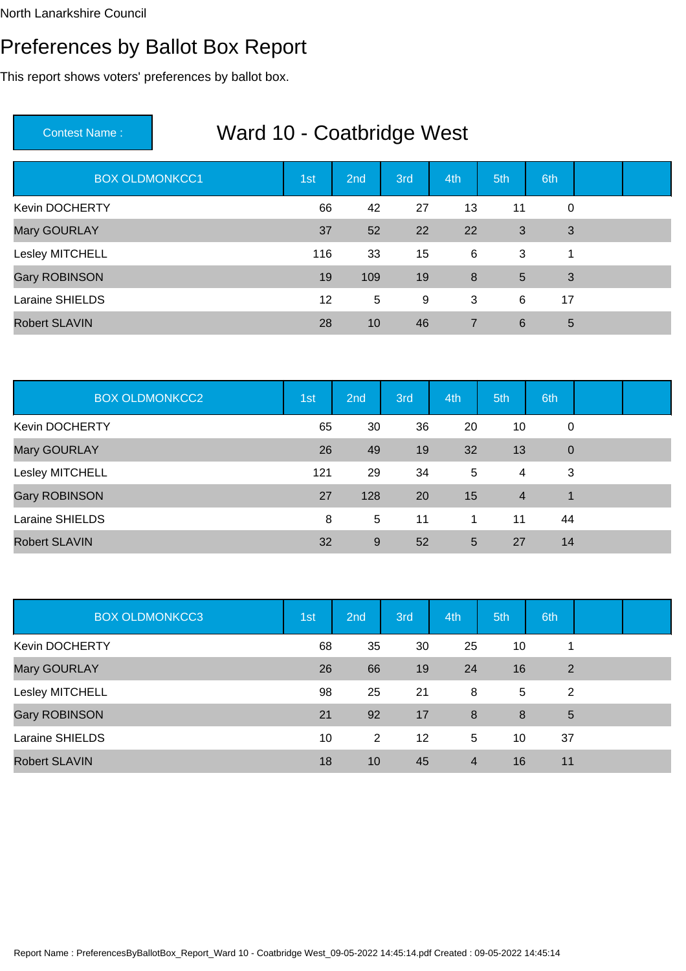### Preferences by Ballot Box Report

This report shows voters' preferences by ballot box.

| <b>BOX OLDMONKCC1</b> | 1st | 2nd | 3rd | 4th            | 5th             | 6th         |  |
|-----------------------|-----|-----|-----|----------------|-----------------|-------------|--|
| <b>Kevin DOCHERTY</b> | 66  | 42  | 27  | 13             | 11              | $\mathbf 0$ |  |
| Mary GOURLAY          | 37  | 52  | 22  | 22             | 3               | 3           |  |
| Lesley MITCHELL       | 116 | 33  | 15  | 6              | 3               | 1           |  |
| <b>Gary ROBINSON</b>  | 19  | 109 | 19  | 8              | $5\overline{)}$ | 3           |  |
| Laraine SHIELDS       | 12  | 5   | 9   | 3              | 6               | 17          |  |
| <b>Robert SLAVIN</b>  | 28  | 10  | 46  | $\overline{7}$ | 6               | 5           |  |

| <b>BOX OLDMONKCC2</b> | 1st | 2nd | 3rd | 4th | 5th            | 6th         |  |
|-----------------------|-----|-----|-----|-----|----------------|-------------|--|
| Kevin DOCHERTY        | 65  | 30  | 36  | 20  | 10             | 0           |  |
| Mary GOURLAY          | 26  | 49  | 19  | 32  | 13             | $\mathbf 0$ |  |
| Lesley MITCHELL       | 121 | 29  | 34  | 5   | $\overline{4}$ | 3           |  |
| Gary ROBINSON         | 27  | 128 | 20  | 15  | $\overline{4}$ | 1           |  |
| Laraine SHIELDS       | 8   | 5   | 11  | 1   | 11             | 44          |  |
| <b>Robert SLAVIN</b>  | 32  | 9   | 52  | 5   | 27             | 14          |  |

| <b>BOX OLDMONKCC3</b> | 1st | 2nd | 3rd | 4th            | 5th | 6th |  |
|-----------------------|-----|-----|-----|----------------|-----|-----|--|
| <b>Kevin DOCHERTY</b> | 68  | 35  | 30  | 25             | 10  |     |  |
| Mary GOURLAY          | 26  | 66  | 19  | 24             | 16  | 2   |  |
| Lesley MITCHELL       | 98  | 25  | 21  | 8              | 5   | 2   |  |
| <b>Gary ROBINSON</b>  | 21  | 92  | 17  | 8              | 8   | 5   |  |
| Laraine SHIELDS       | 10  | 2   | 12  | 5              | 10  | 37  |  |
| <b>Robert SLAVIN</b>  | 18  | 10  | 45  | $\overline{4}$ | 16  | 11  |  |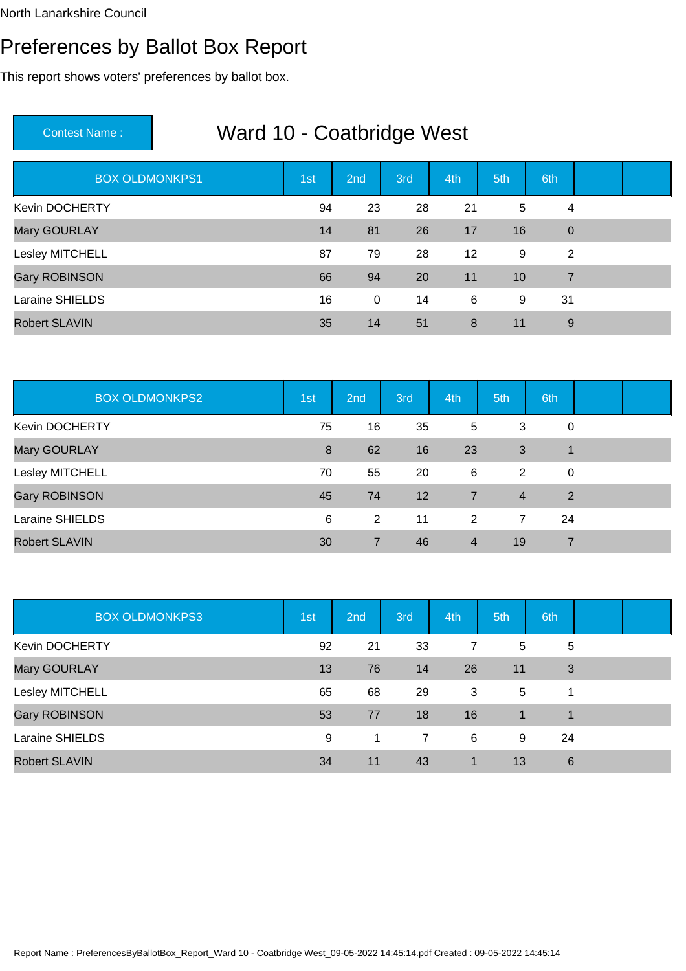### Preferences by Ballot Box Report

This report shows voters' preferences by ballot box.

| <b>BOX OLDMONKPS1</b> | 1st | 2nd         | 3rd | 4th | 5th | 6th            |  |
|-----------------------|-----|-------------|-----|-----|-----|----------------|--|
| <b>Kevin DOCHERTY</b> | 94  | 23          | 28  | 21  | 5   | 4              |  |
| Mary GOURLAY          | 14  | 81          | 26  | 17  | 16  | $\mathbf 0$    |  |
| Lesley MITCHELL       | 87  | 79          | 28  | 12  | 9   | 2              |  |
| <b>Gary ROBINSON</b>  | 66  | 94          | 20  | 11  | 10  | $\overline{7}$ |  |
| Laraine SHIELDS       | 16  | $\mathbf 0$ | 14  | 6   | 9   | 31             |  |
| <b>Robert SLAVIN</b>  | 35  | 14          | 51  | 8   | 11  | 9              |  |

| <b>BOX OLDMONKPS2</b> | 1st | 2nd | 3rd | 4th            | 5th            | 6th |  |
|-----------------------|-----|-----|-----|----------------|----------------|-----|--|
| <b>Kevin DOCHERTY</b> | 75  | 16  | 35  | 5              | 3              | 0   |  |
| Mary GOURLAY          | 8   | 62  | 16  | 23             | 3              | 1   |  |
| Lesley MITCHELL       | 70  | 55  | 20  | 6              | 2              | 0   |  |
| Gary ROBINSON         | 45  | 74  | 12  | $\overline{7}$ | $\overline{4}$ | 2   |  |
| Laraine SHIELDS       | 6   | 2   | 11  | 2              | 7              | 24  |  |
| <b>Robert SLAVIN</b>  | 30  | 7   | 46  | 4              | 19             | 7   |  |

| <b>BOX OLDMONKPS3</b> | 1st | 2nd | 3rd            | 4th | 5th | 6th |  |
|-----------------------|-----|-----|----------------|-----|-----|-----|--|
| <b>Kevin DOCHERTY</b> | 92  | 21  | 33             | 7   | 5   | 5   |  |
| Mary GOURLAY          | 13  | 76  | 14             | 26  | 11  | 3   |  |
| Lesley MITCHELL       | 65  | 68  | 29             | 3   | 5   |     |  |
| <b>Gary ROBINSON</b>  | 53  | 77  | 18             | 16  |     |     |  |
| Laraine SHIELDS       | 9   | 1   | $\overline{7}$ | 6   | 9   | 24  |  |
| <b>Robert SLAVIN</b>  | 34  | 11  | 43             | 1   | 13  | 6   |  |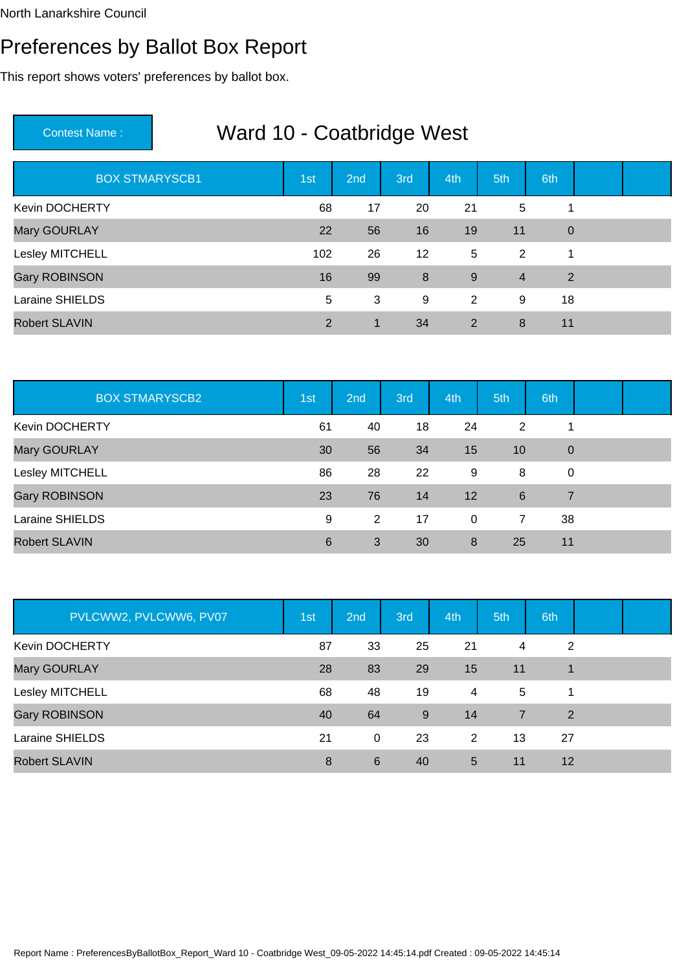### Preferences by Ballot Box Report

This report shows voters' preferences by ballot box.

| <b>BOX STMARYSCB1</b> | 1st            | 2nd | 3rd | 4th | 5th            | 6th            |  |
|-----------------------|----------------|-----|-----|-----|----------------|----------------|--|
| Kevin DOCHERTY        | 68             | 17  | 20  | 21  | 5              |                |  |
| Mary GOURLAY          | 22             | 56  | 16  | 19  | 11             | $\overline{0}$ |  |
| Lesley MITCHELL       | 102            | 26  | 12  | 5   | 2              | 1              |  |
| <b>Gary ROBINSON</b>  | 16             | 99  | 8   | 9   | $\overline{4}$ | 2              |  |
| Laraine SHIELDS       | 5              | 3   | 9   | 2   | 9              | 18             |  |
| <b>Robert SLAVIN</b>  | $\overline{2}$ | 1   | 34  | 2   | 8              | 11             |  |

| <b>BOX STMARYSCB2</b> | 1st | 2nd            | 3rd | 4th         | 5th | 6th         |  |
|-----------------------|-----|----------------|-----|-------------|-----|-------------|--|
| Kevin DOCHERTY        | 61  | 40             | 18  | 24          | 2   |             |  |
| Mary GOURLAY          | 30  | 56             | 34  | 15          | 10  | $\mathbf 0$ |  |
| Lesley MITCHELL       | 86  | 28             | 22  | 9           | 8   | $\mathbf 0$ |  |
| Gary ROBINSON         | 23  | 76             | 14  | 12          | 6   | 7           |  |
| Laraine SHIELDS       | 9   | $\overline{2}$ | 17  | $\mathbf 0$ | 7   | 38          |  |
| <b>Robert SLAVIN</b>  | 6   | 3              | 30  | 8           | 25  | 11          |  |

| PVLCWW2, PVLCWW6, PV07 | 1st | 2nd | 3rd | 4th | 5th            | 6th |  |
|------------------------|-----|-----|-----|-----|----------------|-----|--|
| <b>Kevin DOCHERTY</b>  | 87  | 33  | 25  | 21  | 4              | 2   |  |
| Mary GOURLAY           | 28  | 83  | 29  | 15  | 11             |     |  |
| Lesley MITCHELL        | 68  | 48  | 19  | 4   | 5              | 1   |  |
| <b>Gary ROBINSON</b>   | 40  | 64  | 9   | 14  | $\overline{7}$ | 2   |  |
| Laraine SHIELDS        | 21  | 0   | 23  | 2   | 13             | 27  |  |
| <b>Robert SLAVIN</b>   | 8   | 6   | 40  | 5   | 11             | 12  |  |